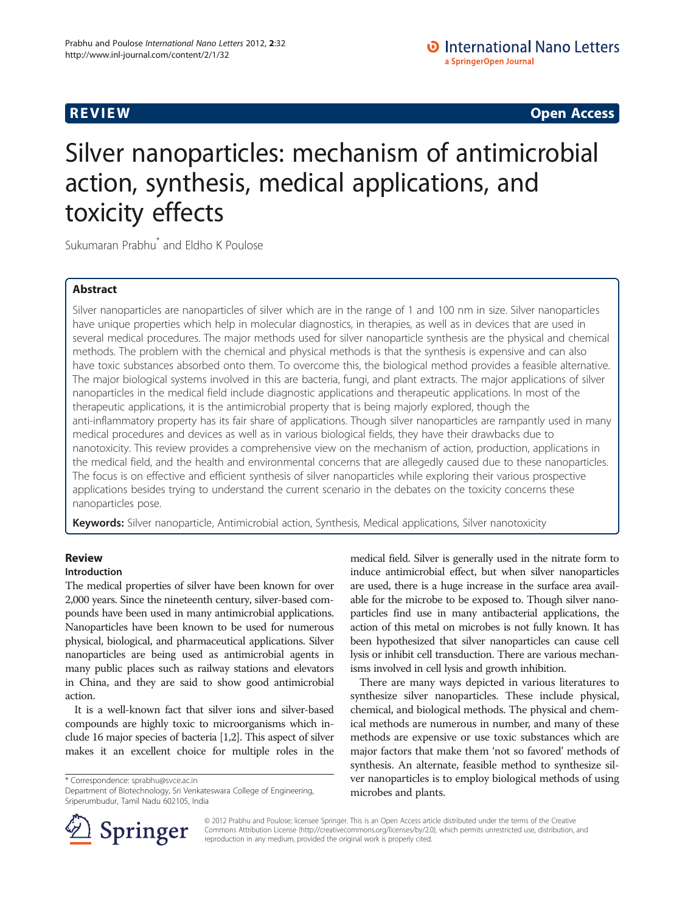**REVIEW REVIEW CONSTRUCTER CONSTRUCTION** 

# Silver nanoparticles: mechanism of antimicrobial action, synthesis, medical applications, and toxicity effects

Sukumaran Prabhu\* and Eldho K Poulose

# Abstract

Silver nanoparticles are nanoparticles of silver which are in the range of 1 and 100 nm in size. Silver nanoparticles have unique properties which help in molecular diagnostics, in therapies, as well as in devices that are used in several medical procedures. The major methods used for silver nanoparticle synthesis are the physical and chemical methods. The problem with the chemical and physical methods is that the synthesis is expensive and can also have toxic substances absorbed onto them. To overcome this, the biological method provides a feasible alternative. The major biological systems involved in this are bacteria, fungi, and plant extracts. The major applications of silver nanoparticles in the medical field include diagnostic applications and therapeutic applications. In most of the therapeutic applications, it is the antimicrobial property that is being majorly explored, though the anti-inflammatory property has its fair share of applications. Though silver nanoparticles are rampantly used in many medical procedures and devices as well as in various biological fields, they have their drawbacks due to nanotoxicity. This review provides a comprehensive view on the mechanism of action, production, applications in the medical field, and the health and environmental concerns that are allegedly caused due to these nanoparticles. The focus is on effective and efficient synthesis of silver nanoparticles while exploring their various prospective applications besides trying to understand the current scenario in the debates on the toxicity concerns these nanoparticles pose.

Keywords: Silver nanoparticle, Antimicrobial action, Synthesis, Medical applications, Silver nanotoxicity

# Review

# Introduction

The medical properties of silver have been known for over 2,000 years. Since the nineteenth century, silver-based compounds have been used in many antimicrobial applications. Nanoparticles have been known to be used for numerous physical, biological, and pharmaceutical applications. Silver nanoparticles are being used as antimicrobial agents in many public places such as railway stations and elevators in China, and they are said to show good antimicrobial action.

It is a well-known fact that silver ions and silver-based compounds are highly toxic to microorganisms which include 16 major species of bacteria [\[1,2](#page-7-0)]. This aspect of silver makes it an excellent choice for multiple roles in the

\* Correspondence: [sprabhu@svce.ac.in](mailto:sprabhu@svce.ac.in)

Department of Biotechnology, Sri Venkateswara College of Engineering, Sriperumbudur, Tamil Nadu 602105, India

medical field. Silver is generally used in the nitrate form to induce antimicrobial effect, but when silver nanoparticles are used, there is a huge increase in the surface area available for the microbe to be exposed to. Though silver nanoparticles find use in many antibacterial applications, the action of this metal on microbes is not fully known. It has been hypothesized that silver nanoparticles can cause cell lysis or inhibit cell transduction. There are various mechanisms involved in cell lysis and growth inhibition.

There are many ways depicted in various literatures to synthesize silver nanoparticles. These include physical, chemical, and biological methods. The physical and chemical methods are numerous in number, and many of these methods are expensive or use toxic substances which are major factors that make them 'not so favored' methods of synthesis. An alternate, feasible method to synthesize silver nanoparticles is to employ biological methods of using microbes and plants.



© 2012 Prabhu and Poulose; licensee Springer. This is an Open Access article distributed under the terms of the Creative Commons Attribution License (<http://creativecommons.org/licenses/by/2.0>), which permits unrestricted use, distribution, and reproduction in any medium, provided the original work is properly cited.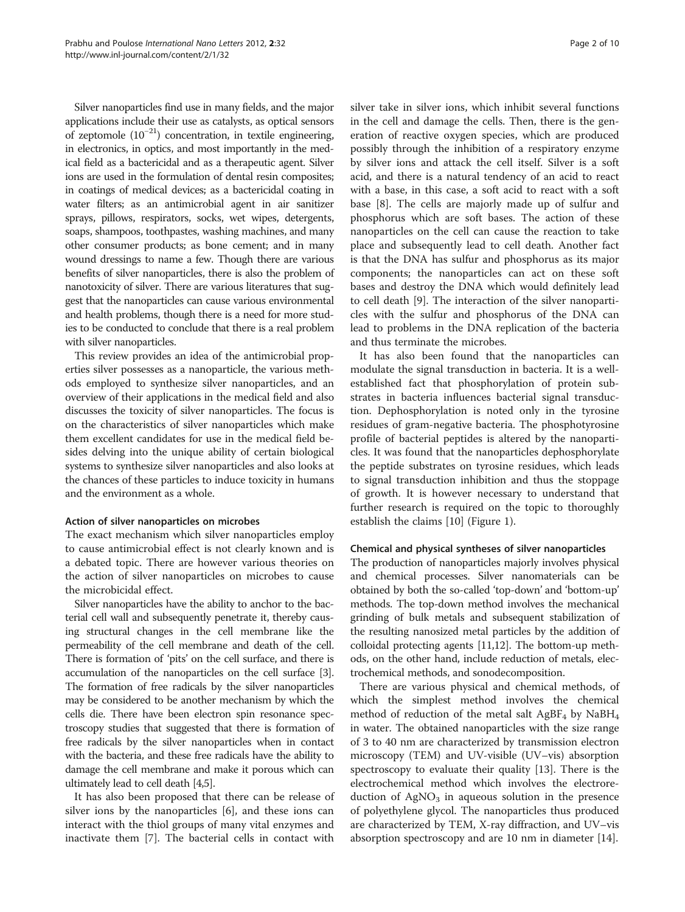Silver nanoparticles find use in many fields, and the major applications include their use as catalysts, as optical sensors of zeptomole  $(10^{-21})$  concentration, in textile engineering, in electronics, in optics, and most importantly in the medical field as a bactericidal and as a therapeutic agent. Silver ions are used in the formulation of dental resin composites; in coatings of medical devices; as a bactericidal coating in water filters; as an antimicrobial agent in air sanitizer sprays, pillows, respirators, socks, wet wipes, detergents, soaps, shampoos, toothpastes, washing machines, and many other consumer products; as bone cement; and in many wound dressings to name a few. Though there are various benefits of silver nanoparticles, there is also the problem of nanotoxicity of silver. There are various literatures that suggest that the nanoparticles can cause various environmental and health problems, though there is a need for more studies to be conducted to conclude that there is a real problem with silver nanoparticles.

This review provides an idea of the antimicrobial properties silver possesses as a nanoparticle, the various methods employed to synthesize silver nanoparticles, and an overview of their applications in the medical field and also discusses the toxicity of silver nanoparticles. The focus is on the characteristics of silver nanoparticles which make them excellent candidates for use in the medical field besides delving into the unique ability of certain biological systems to synthesize silver nanoparticles and also looks at the chances of these particles to induce toxicity in humans and the environment as a whole.

### Action of silver nanoparticles on microbes

The exact mechanism which silver nanoparticles employ to cause antimicrobial effect is not clearly known and is a debated topic. There are however various theories on the action of silver nanoparticles on microbes to cause the microbicidal effect.

Silver nanoparticles have the ability to anchor to the bacterial cell wall and subsequently penetrate it, thereby causing structural changes in the cell membrane like the permeability of the cell membrane and death of the cell. There is formation of 'pits' on the cell surface, and there is accumulation of the nanoparticles on the cell surface [[3](#page-7-0)]. The formation of free radicals by the silver nanoparticles may be considered to be another mechanism by which the cells die. There have been electron spin resonance spectroscopy studies that suggested that there is formation of free radicals by the silver nanoparticles when in contact with the bacteria, and these free radicals have the ability to damage the cell membrane and make it porous which can ultimately lead to cell death [[4,5](#page-7-0)].

It has also been proposed that there can be release of silver ions by the nanoparticles [\[6](#page-7-0)], and these ions can interact with the thiol groups of many vital enzymes and inactivate them [[7\]](#page-7-0). The bacterial cells in contact with

silver take in silver ions, which inhibit several functions in the cell and damage the cells. Then, there is the generation of reactive oxygen species, which are produced possibly through the inhibition of a respiratory enzyme by silver ions and attack the cell itself. Silver is a soft acid, and there is a natural tendency of an acid to react with a base, in this case, a soft acid to react with a soft base [\[8](#page-7-0)]. The cells are majorly made up of sulfur and phosphorus which are soft bases. The action of these nanoparticles on the cell can cause the reaction to take place and subsequently lead to cell death. Another fact is that the DNA has sulfur and phosphorus as its major components; the nanoparticles can act on these soft bases and destroy the DNA which would definitely lead to cell death [[9](#page-7-0)]. The interaction of the silver nanoparticles with the sulfur and phosphorus of the DNA can lead to problems in the DNA replication of the bacteria and thus terminate the microbes.

It has also been found that the nanoparticles can modulate the signal transduction in bacteria. It is a wellestablished fact that phosphorylation of protein substrates in bacteria influences bacterial signal transduction. Dephosphorylation is noted only in the tyrosine residues of gram-negative bacteria. The phosphotyrosine profile of bacterial peptides is altered by the nanoparticles. It was found that the nanoparticles dephosphorylate the peptide substrates on tyrosine residues, which leads to signal transduction inhibition and thus the stoppage of growth. It is however necessary to understand that further research is required on the topic to thoroughly establish the claims [[10](#page-7-0)] (Figure [1](#page-2-0)).

# Chemical and physical syntheses of silver nanoparticles

The production of nanoparticles majorly involves physical and chemical processes. Silver nanomaterials can be obtained by both the so-called 'top-down' and 'bottom-up' methods. The top-down method involves the mechanical grinding of bulk metals and subsequent stabilization of the resulting nanosized metal particles by the addition of colloidal protecting agents [\[11,12\]](#page-7-0). The bottom-up methods, on the other hand, include reduction of metals, electrochemical methods, and sonodecomposition.

There are various physical and chemical methods, of which the simplest method involves the chemical method of reduction of the metal salt  $AgBF_4$  by NaBH<sub>4</sub> in water. The obtained nanoparticles with the size range of 3 to 40 nm are characterized by transmission electron microscopy (TEM) and UV-visible (UV–vis) absorption spectroscopy to evaluate their quality [\[13](#page-7-0)]. There is the electrochemical method which involves the electroreduction of  $AgNO<sub>3</sub>$  in aqueous solution in the presence of polyethylene glycol. The nanoparticles thus produced are characterized by TEM, X-ray diffraction, and UV–vis absorption spectroscopy and are 10 nm in diameter [[14](#page-7-0)].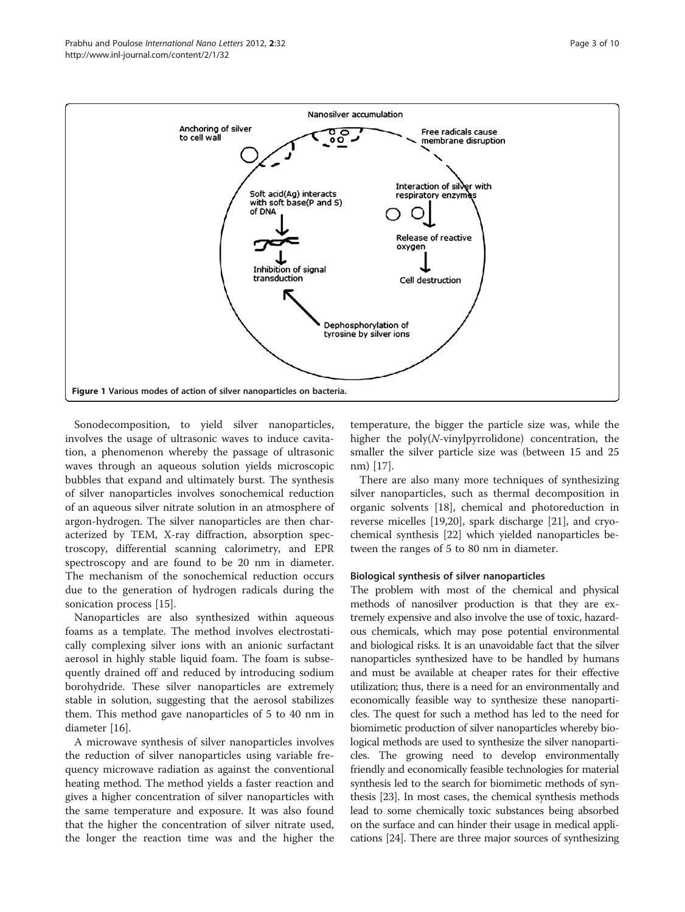<span id="page-2-0"></span>

Sonodecomposition, to yield silver nanoparticles, involves the usage of ultrasonic waves to induce cavitation, a phenomenon whereby the passage of ultrasonic waves through an aqueous solution yields microscopic bubbles that expand and ultimately burst. The synthesis of silver nanoparticles involves sonochemical reduction of an aqueous silver nitrate solution in an atmosphere of argon-hydrogen. The silver nanoparticles are then characterized by TEM, X-ray diffraction, absorption spectroscopy, differential scanning calorimetry, and EPR spectroscopy and are found to be 20 nm in diameter. The mechanism of the sonochemical reduction occurs due to the generation of hydrogen radicals during the sonication process [\[15\]](#page-7-0).

Nanoparticles are also synthesized within aqueous foams as a template. The method involves electrostatically complexing silver ions with an anionic surfactant aerosol in highly stable liquid foam. The foam is subsequently drained off and reduced by introducing sodium borohydride. These silver nanoparticles are extremely stable in solution, suggesting that the aerosol stabilizes them. This method gave nanoparticles of 5 to 40 nm in diameter [[16\]](#page-7-0).

A microwave synthesis of silver nanoparticles involves the reduction of silver nanoparticles using variable frequency microwave radiation as against the conventional heating method. The method yields a faster reaction and gives a higher concentration of silver nanoparticles with the same temperature and exposure. It was also found that the higher the concentration of silver nitrate used, the longer the reaction time was and the higher the

temperature, the bigger the particle size was, while the higher the poly(N-vinylpyrrolidone) concentration, the smaller the silver particle size was (between 15 and 25 nm) [[17](#page-7-0)].

There are also many more techniques of synthesizing silver nanoparticles, such as thermal decomposition in organic solvents [\[18\]](#page-7-0), chemical and photoreduction in reverse micelles [\[19,20](#page-7-0)], spark discharge [[21](#page-7-0)], and cryochemical synthesis [[22\]](#page-7-0) which yielded nanoparticles between the ranges of 5 to 80 nm in diameter.

### Biological synthesis of silver nanoparticles

The problem with most of the chemical and physical methods of nanosilver production is that they are extremely expensive and also involve the use of toxic, hazardous chemicals, which may pose potential environmental and biological risks. It is an unavoidable fact that the silver nanoparticles synthesized have to be handled by humans and must be available at cheaper rates for their effective utilization; thus, there is a need for an environmentally and economically feasible way to synthesize these nanoparticles. The quest for such a method has led to the need for biomimetic production of silver nanoparticles whereby biological methods are used to synthesize the silver nanoparticles. The growing need to develop environmentally friendly and economically feasible technologies for material synthesis led to the search for biomimetic methods of synthesis [\[23\]](#page-7-0). In most cases, the chemical synthesis methods lead to some chemically toxic substances being absorbed on the surface and can hinder their usage in medical applications [[24](#page-7-0)]. There are three major sources of synthesizing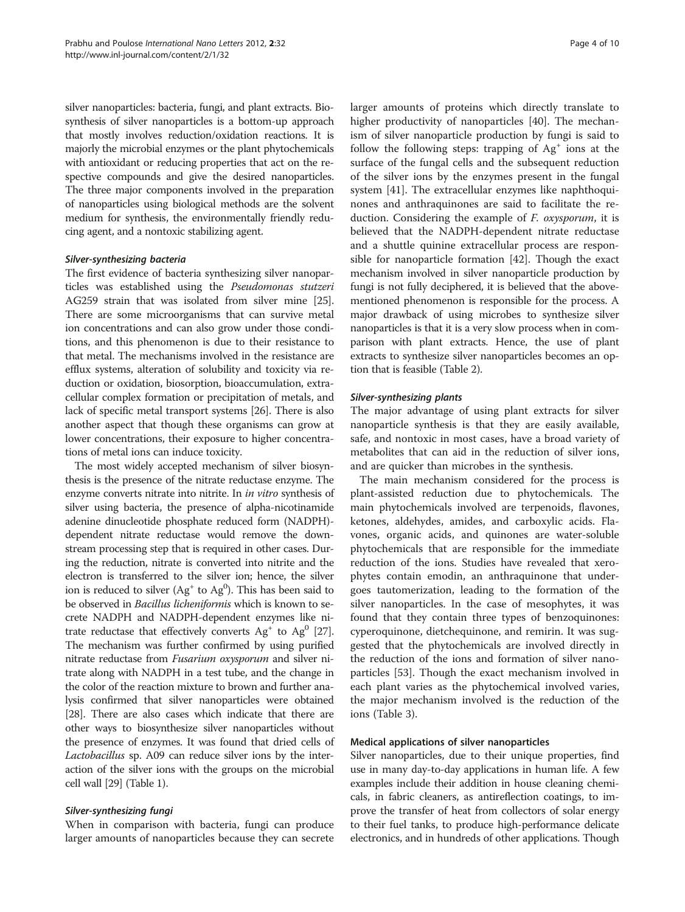silver nanoparticles: bacteria, fungi, and plant extracts. Biosynthesis of silver nanoparticles is a bottom-up approach that mostly involves reduction/oxidation reactions. It is majorly the microbial enzymes or the plant phytochemicals with antioxidant or reducing properties that act on the respective compounds and give the desired nanoparticles. The three major components involved in the preparation of nanoparticles using biological methods are the solvent medium for synthesis, the environmentally friendly reducing agent, and a nontoxic stabilizing agent.

The first evidence of bacteria synthesizing silver nanoparticles was established using the Pseudomonas stutzeri AG259 strain that was isolated from silver mine [[25](#page-7-0)]. There are some microorganisms that can survive metal ion concentrations and can also grow under those conditions, and this phenomenon is due to their resistance to that metal. The mechanisms involved in the resistance are efflux systems, alteration of solubility and toxicity via reduction or oxidation, biosorption, bioaccumulation, extracellular complex formation or precipitation of metals, and lack of specific metal transport systems [\[26\]](#page-7-0). There is also another aspect that though these organisms can grow at lower concentrations, their exposure to higher concentrations of metal ions can induce toxicity.

The most widely accepted mechanism of silver biosynthesis is the presence of the nitrate reductase enzyme. The enzyme converts nitrate into nitrite. In in vitro synthesis of silver using bacteria, the presence of alpha-nicotinamide adenine dinucleotide phosphate reduced form (NADPH) dependent nitrate reductase would remove the downstream processing step that is required in other cases. During the reduction, nitrate is converted into nitrite and the electron is transferred to the silver ion; hence, the silver ion is reduced to silver  $(Ag^+$  to  $Ag^0$ ). This has been said to be observed in Bacillus licheniformis which is known to secrete NADPH and NADPH-dependent enzymes like nitrate reductase that effectively converts  $Ag<sup>+</sup>$  to  $Ag<sup>0</sup>$  [[27](#page-7-0)]. The mechanism was further confirmed by using purified nitrate reductase from Fusarium oxysporum and silver nitrate along with NADPH in a test tube, and the change in the color of the reaction mixture to brown and further analysis confirmed that silver nanoparticles were obtained [[28](#page-7-0)]. There are also cases which indicate that there are other ways to biosynthesize silver nanoparticles without the presence of enzymes. It was found that dried cells of Lactobacillus sp. A09 can reduce silver ions by the interaction of the silver ions with the groups on the microbial cell wall [\[29\]](#page-7-0) (Table [1](#page-4-0)).

When in comparison with bacteria, fungi can produce larger amounts of nanoparticles because they can secrete larger amounts of proteins which directly translate to higher productivity of nanoparticles [[40\]](#page-8-0). The mechanism of silver nanoparticle production by fungi is said to follow the following steps: trapping of  $Ag<sup>+</sup>$  ions at the surface of the fungal cells and the subsequent reduction of the silver ions by the enzymes present in the fungal system [\[41\]](#page-8-0). The extracellular enzymes like naphthoquinones and anthraquinones are said to facilitate the reduction. Considering the example of *F. oxysporum*, it is believed that the NADPH-dependent nitrate reductase and a shuttle quinine extracellular process are responsible for nanoparticle formation [\[42](#page-8-0)]. Though the exact mechanism involved in silver nanoparticle production by fungi is not fully deciphered, it is believed that the abovementioned phenomenon is responsible for the process. A major drawback of using microbes to synthesize silver nanoparticles is that it is a very slow process when in comparison with plant extracts. Hence, the use of plant extracts to synthesize silver nanoparticles becomes an option that is feasible (Table [2\)](#page-4-0).

The major advantage of using plant extracts for silver nanoparticle synthesis is that they are easily available, safe, and nontoxic in most cases, have a broad variety of metabolites that can aid in the reduction of silver ions, and are quicker than microbes in the synthesis.

The main mechanism considered for the process is plant-assisted reduction due to phytochemicals. The main phytochemicals involved are terpenoids, flavones, ketones, aldehydes, amides, and carboxylic acids. Flavones, organic acids, and quinones are water-soluble phytochemicals that are responsible for the immediate reduction of the ions. Studies have revealed that xerophytes contain emodin, an anthraquinone that undergoes tautomerization, leading to the formation of the silver nanoparticles. In the case of mesophytes, it was found that they contain three types of benzoquinones: cyperoquinone, dietchequinone, and remirin. It was suggested that the phytochemicals are involved directly in the reduction of the ions and formation of silver nanoparticles [[53\]](#page-8-0). Though the exact mechanism involved in each plant varies as the phytochemical involved varies, the major mechanism involved is the reduction of the ions (Table [3\)](#page-5-0).

### Medical applications of silver nanoparticles

Silver nanoparticles, due to their unique properties, find use in many day-to-day applications in human life. A few examples include their addition in house cleaning chemicals, in fabric cleaners, as antireflection coatings, to improve the transfer of heat from collectors of solar energy to their fuel tanks, to produce high-performance delicate electronics, and in hundreds of other applications. Though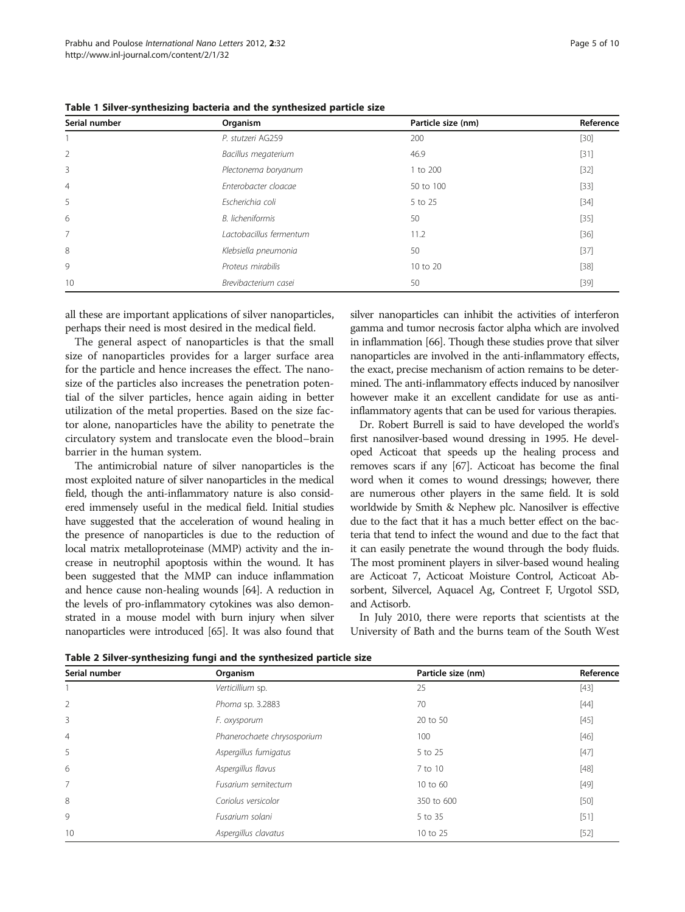| Serial number  | Organism                | Particle size (nm) | Reference |
|----------------|-------------------------|--------------------|-----------|
|                | P. stutzeri AG259       | 200                | $[30]$    |
| 2              | Bacillus megaterium     | 46.9               | [31]      |
| 3              | Plectonema boryanum     | 1 to 200           | $[32]$    |
| $\overline{4}$ | Enterobacter cloacae    | 50 to 100          | [33]      |
| 5              | Escherichia coli        | 5 to 25            | $[34]$    |
| 6              | B. licheniformis        | 50                 | $[35]$    |
| $\overline{7}$ | Lactobacillus fermentum | 11.2               | $[36]$    |
| 8              | Klebsiella pneumonia    | 50                 | $[37]$    |
| 9              | Proteus mirabilis       | 10 to 20           | $[38]$    |
| 10             | Brevibacterium casei    | 50                 | $[39]$    |

<span id="page-4-0"></span>Table 1 Silver-synthesizing bacteria and the synthesized particle size

all these are important applications of silver nanoparticles, perhaps their need is most desired in the medical field.

The general aspect of nanoparticles is that the small size of nanoparticles provides for a larger surface area for the particle and hence increases the effect. The nanosize of the particles also increases the penetration potential of the silver particles, hence again aiding in better utilization of the metal properties. Based on the size factor alone, nanoparticles have the ability to penetrate the circulatory system and translocate even the blood–brain barrier in the human system.

The antimicrobial nature of silver nanoparticles is the most exploited nature of silver nanoparticles in the medical field, though the anti-inflammatory nature is also considered immensely useful in the medical field. Initial studies have suggested that the acceleration of wound healing in the presence of nanoparticles is due to the reduction of local matrix metalloproteinase (MMP) activity and the increase in neutrophil apoptosis within the wound. It has been suggested that the MMP can induce inflammation and hence cause non-healing wounds [[64\]](#page-8-0). A reduction in the levels of pro-inflammatory cytokines was also demonstrated in a mouse model with burn injury when silver nanoparticles were introduced [[65](#page-8-0)]. It was also found that silver nanoparticles can inhibit the activities of interferon gamma and tumor necrosis factor alpha which are involved in inflammation [\[66](#page-8-0)]. Though these studies prove that silver nanoparticles are involved in the anti-inflammatory effects, the exact, precise mechanism of action remains to be determined. The anti-inflammatory effects induced by nanosilver however make it an excellent candidate for use as antiinflammatory agents that can be used for various therapies.

Dr. Robert Burrell is said to have developed the world's first nanosilver-based wound dressing in 1995. He developed Acticoat that speeds up the healing process and removes scars if any [\[67\]](#page-8-0). Acticoat has become the final word when it comes to wound dressings; however, there are numerous other players in the same field. It is sold worldwide by Smith & Nephew plc. Nanosilver is effective due to the fact that it has a much better effect on the bacteria that tend to infect the wound and due to the fact that it can easily penetrate the wound through the body fluids. The most prominent players in silver-based wound healing are Acticoat 7, Acticoat Moisture Control, Acticoat Absorbent, Silvercel, Aquacel Ag, Contreet F, Urgotol SSD, and Actisorb.

In July 2010, there were reports that scientists at the University of Bath and the burns team of the South West

| Serial number  | Organism                    | Particle size (nm) | Reference |
|----------------|-----------------------------|--------------------|-----------|
|                | Verticillium sp.            | 25                 | $[43]$    |
| 2              | Phoma sp. 3.2883            | 70                 | $[44]$    |
| 3              | F. oxysporum                | 20 to 50           | $[45]$    |
| $\overline{4}$ | Phanerochaete chrysosporium | 100                | $[46]$    |
| 5              | Aspergillus fumigatus       | 5 to 25            | $[47]$    |
| 6              | Aspergillus flavus          | 7 to 10            | $[48]$    |
| 7              | Fusarium semitectum         | 10 to 60           | $[49]$    |
| 8              | Coriolus versicolor         | 350 to 600         | $[50]$    |
| 9              | Fusarium solani             | 5 to 35            | $[51]$    |
| 10             | Aspergillus clavatus        | 10 to 25           | $[52]$    |

Table 2 Silver-synthesizing fungi and the synthesized particle size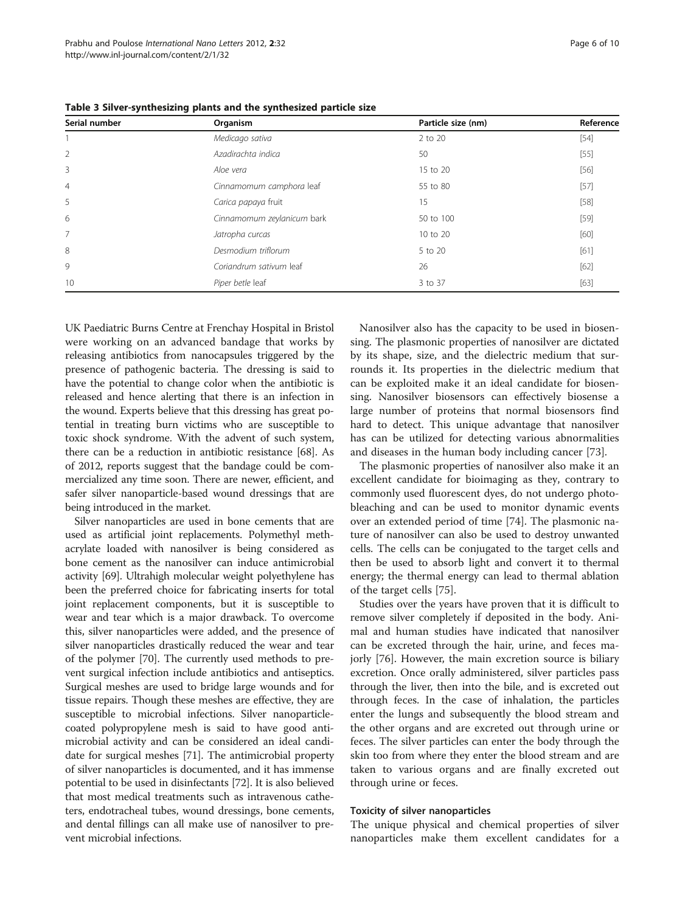| Serial number  | Organism                   | Particle size (nm) | Reference |
|----------------|----------------------------|--------------------|-----------|
|                | Medicago sativa            | 2 to 20            | $[54]$    |
| 2              | Azadirachta indica         | 50                 | $[55]$    |
| 3              | Aloe vera                  | 15 to 20           | $[56]$    |
| $\overline{4}$ | Cinnamomum camphora leaf   | 55 to 80           | $[57]$    |
| 5              | Carica papaya fruit        | 15                 | $[58]$    |
| 6              | Cinnamomum zeylanicum bark | 50 to 100          | $[59]$    |
| $\overline{7}$ | Jatropha curcas            | 10 to 20           | [60]      |
| 8              | Desmodium triflorum        | 5 to 20            | $[61]$    |
| 9              | Coriandrum sativum leaf    | 26                 | $[62]$    |
| 10             | Piper betle leaf           | 3 to 37            | $[63]$    |

<span id="page-5-0"></span>Table 3 Silver-synthesizing plants and the synthesized particle size

UK Paediatric Burns Centre at Frenchay Hospital in Bristol were working on an advanced bandage that works by releasing antibiotics from nanocapsules triggered by the presence of pathogenic bacteria. The dressing is said to have the potential to change color when the antibiotic is released and hence alerting that there is an infection in the wound. Experts believe that this dressing has great potential in treating burn victims who are susceptible to toxic shock syndrome. With the advent of such system, there can be a reduction in antibiotic resistance [\[68\]](#page-8-0). As of 2012, reports suggest that the bandage could be commercialized any time soon. There are newer, efficient, and safer silver nanoparticle-based wound dressings that are being introduced in the market.

Silver nanoparticles are used in bone cements that are used as artificial joint replacements. Polymethyl methacrylate loaded with nanosilver is being considered as bone cement as the nanosilver can induce antimicrobial activity [\[69](#page-8-0)]. Ultrahigh molecular weight polyethylene has been the preferred choice for fabricating inserts for total joint replacement components, but it is susceptible to wear and tear which is a major drawback. To overcome this, silver nanoparticles were added, and the presence of silver nanoparticles drastically reduced the wear and tear of the polymer [\[70\]](#page-8-0). The currently used methods to prevent surgical infection include antibiotics and antiseptics. Surgical meshes are used to bridge large wounds and for tissue repairs. Though these meshes are effective, they are susceptible to microbial infections. Silver nanoparticlecoated polypropylene mesh is said to have good antimicrobial activity and can be considered an ideal candidate for surgical meshes [\[71\]](#page-8-0). The antimicrobial property of silver nanoparticles is documented, and it has immense potential to be used in disinfectants [[72](#page-8-0)]. It is also believed that most medical treatments such as intravenous catheters, endotracheal tubes, wound dressings, bone cements, and dental fillings can all make use of nanosilver to prevent microbial infections.

Nanosilver also has the capacity to be used in biosensing. The plasmonic properties of nanosilver are dictated by its shape, size, and the dielectric medium that surrounds it. Its properties in the dielectric medium that can be exploited make it an ideal candidate for biosensing. Nanosilver biosensors can effectively biosense a large number of proteins that normal biosensors find hard to detect. This unique advantage that nanosilver has can be utilized for detecting various abnormalities and diseases in the human body including cancer [[73\]](#page-8-0).

The plasmonic properties of nanosilver also make it an excellent candidate for bioimaging as they, contrary to commonly used fluorescent dyes, do not undergo photobleaching and can be used to monitor dynamic events over an extended period of time [\[74\]](#page-8-0). The plasmonic nature of nanosilver can also be used to destroy unwanted cells. The cells can be conjugated to the target cells and then be used to absorb light and convert it to thermal energy; the thermal energy can lead to thermal ablation of the target cells [[75\]](#page-8-0).

Studies over the years have proven that it is difficult to remove silver completely if deposited in the body. Animal and human studies have indicated that nanosilver can be excreted through the hair, urine, and feces majorly [[76\]](#page-8-0). However, the main excretion source is biliary excretion. Once orally administered, silver particles pass through the liver, then into the bile, and is excreted out through feces. In the case of inhalation, the particles enter the lungs and subsequently the blood stream and the other organs and are excreted out through urine or feces. The silver particles can enter the body through the skin too from where they enter the blood stream and are taken to various organs and are finally excreted out through urine or feces.

### Toxicity of silver nanoparticles

The unique physical and chemical properties of silver nanoparticles make them excellent candidates for a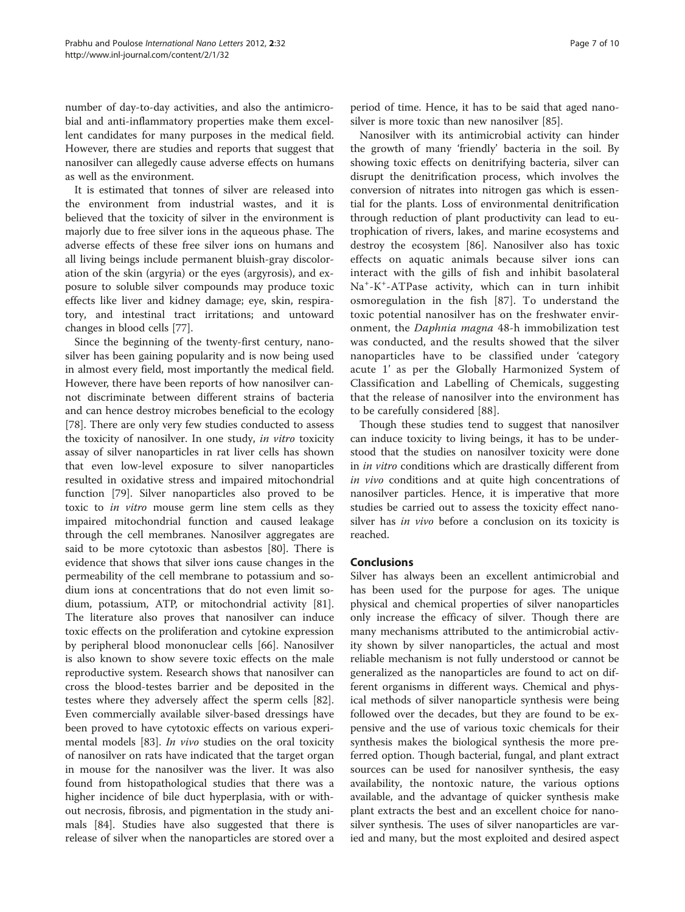number of day-to-day activities, and also the antimicrobial and anti-inflammatory properties make them excellent candidates for many purposes in the medical field. However, there are studies and reports that suggest that nanosilver can allegedly cause adverse effects on humans as well as the environment.

It is estimated that tonnes of silver are released into the environment from industrial wastes, and it is believed that the toxicity of silver in the environment is majorly due to free silver ions in the aqueous phase. The adverse effects of these free silver ions on humans and all living beings include permanent bluish-gray discoloration of the skin (argyria) or the eyes (argyrosis), and exposure to soluble silver compounds may produce toxic effects like liver and kidney damage; eye, skin, respiratory, and intestinal tract irritations; and untoward changes in blood cells [[77\]](#page-8-0).

Since the beginning of the twenty-first century, nanosilver has been gaining popularity and is now being used in almost every field, most importantly the medical field. However, there have been reports of how nanosilver cannot discriminate between different strains of bacteria and can hence destroy microbes beneficial to the ecology [[78\]](#page-8-0). There are only very few studies conducted to assess the toxicity of nanosilver. In one study, in vitro toxicity assay of silver nanoparticles in rat liver cells has shown that even low-level exposure to silver nanoparticles resulted in oxidative stress and impaired mitochondrial function [\[79\]](#page-8-0). Silver nanoparticles also proved to be toxic to in vitro mouse germ line stem cells as they impaired mitochondrial function and caused leakage through the cell membranes. Nanosilver aggregates are said to be more cytotoxic than asbestos [[80\]](#page-8-0). There is evidence that shows that silver ions cause changes in the permeability of the cell membrane to potassium and sodium ions at concentrations that do not even limit sodium, potassium, ATP, or mitochondrial activity [\[81](#page-9-0)]. The literature also proves that nanosilver can induce toxic effects on the proliferation and cytokine expression by peripheral blood mononuclear cells [\[66](#page-8-0)]. Nanosilver is also known to show severe toxic effects on the male reproductive system. Research shows that nanosilver can cross the blood-testes barrier and be deposited in the testes where they adversely affect the sperm cells [\[82](#page-9-0)]. Even commercially available silver-based dressings have been proved to have cytotoxic effects on various experimental models [\[83](#page-9-0)]. In vivo studies on the oral toxicity of nanosilver on rats have indicated that the target organ in mouse for the nanosilver was the liver. It was also found from histopathological studies that there was a higher incidence of bile duct hyperplasia, with or without necrosis, fibrosis, and pigmentation in the study animals [\[84\]](#page-9-0). Studies have also suggested that there is release of silver when the nanoparticles are stored over a

period of time. Hence, it has to be said that aged nanosilver is more toxic than new nanosilver [[85](#page-9-0)].

Nanosilver with its antimicrobial activity can hinder the growth of many 'friendly' bacteria in the soil. By showing toxic effects on denitrifying bacteria, silver can disrupt the denitrification process, which involves the conversion of nitrates into nitrogen gas which is essential for the plants. Loss of environmental denitrification through reduction of plant productivity can lead to eutrophication of rivers, lakes, and marine ecosystems and destroy the ecosystem [\[86](#page-9-0)]. Nanosilver also has toxic effects on aquatic animals because silver ions can interact with the gills of fish and inhibit basolateral Na<sup>+</sup>-K<sup>+</sup>-ATPase activity, which can in turn inhibit osmoregulation in the fish [[87](#page-9-0)]. To understand the toxic potential nanosilver has on the freshwater environment, the Daphnia magna 48-h immobilization test was conducted, and the results showed that the silver nanoparticles have to be classified under 'category acute 1' as per the Globally Harmonized System of Classification and Labelling of Chemicals, suggesting that the release of nanosilver into the environment has to be carefully considered [[88\]](#page-9-0).

Though these studies tend to suggest that nanosilver can induce toxicity to living beings, it has to be understood that the studies on nanosilver toxicity were done in *in vitro* conditions which are drastically different from in vivo conditions and at quite high concentrations of nanosilver particles. Hence, it is imperative that more studies be carried out to assess the toxicity effect nanosilver has *in vivo* before a conclusion on its toxicity is reached.

### Conclusions

Silver has always been an excellent antimicrobial and has been used for the purpose for ages. The unique physical and chemical properties of silver nanoparticles only increase the efficacy of silver. Though there are many mechanisms attributed to the antimicrobial activity shown by silver nanoparticles, the actual and most reliable mechanism is not fully understood or cannot be generalized as the nanoparticles are found to act on different organisms in different ways. Chemical and physical methods of silver nanoparticle synthesis were being followed over the decades, but they are found to be expensive and the use of various toxic chemicals for their synthesis makes the biological synthesis the more preferred option. Though bacterial, fungal, and plant extract sources can be used for nanosilver synthesis, the easy availability, the nontoxic nature, the various options available, and the advantage of quicker synthesis make plant extracts the best and an excellent choice for nanosilver synthesis. The uses of silver nanoparticles are varied and many, but the most exploited and desired aspect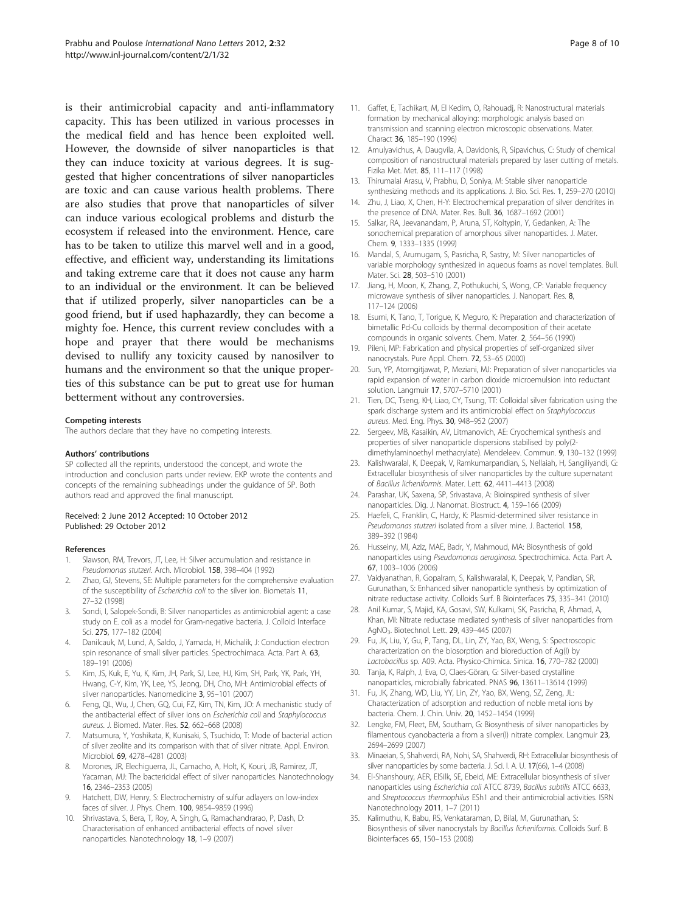<span id="page-7-0"></span>is their antimicrobial capacity and anti-inflammatory capacity. This has been utilized in various processes in the medical field and has hence been exploited well. However, the downside of silver nanoparticles is that they can induce toxicity at various degrees. It is suggested that higher concentrations of silver nanoparticles are toxic and can cause various health problems. There are also studies that prove that nanoparticles of silver can induce various ecological problems and disturb the ecosystem if released into the environment. Hence, care has to be taken to utilize this marvel well and in a good, effective, and efficient way, understanding its limitations and taking extreme care that it does not cause any harm to an individual or the environment. It can be believed that if utilized properly, silver nanoparticles can be a good friend, but if used haphazardly, they can become a mighty foe. Hence, this current review concludes with a hope and prayer that there would be mechanisms devised to nullify any toxicity caused by nanosilver to humans and the environment so that the unique properties of this substance can be put to great use for human betterment without any controversies.

### Competing interests

The authors declare that they have no competing interests.

### Authors' contributions

SP collected all the reprints, understood the concept, and wrote the introduction and conclusion parts under review. EKP wrote the contents and concepts of the remaining subheadings under the guidance of SP. Both authors read and approved the final manuscript.

### Received: 2 June 2012 Accepted: 10 October 2012 Published: 29 October 2012

### References

- 1. Slawson, RM, Trevors, JT, Lee, H: Silver accumulation and resistance in Pseudomonas stutzeri. Arch. Microbiol. 158, 398–404 (1992)
- 2. Zhao, GJ, Stevens, SE: Multiple parameters for the comprehensive evaluation of the susceptibility of Escherichia coli to the silver ion. Biometals 11, 27–32 (1998)
- 3. Sondi, I, Salopek-Sondi, B: Silver nanoparticles as antimicrobial agent: a case study on E. coli as a model for Gram-negative bacteria. J. Colloid Interface Sci. 275, 177–182 (2004)
- 4. Danilcauk, M, Lund, A, Saldo, J, Yamada, H, Michalik, J: Conduction electron spin resonance of small silver particles. Spectrochimaca. Acta. Part A. 63, 189–191 (2006)
- 5. Kim, JS, Kuk, E, Yu, K, Kim, JH, Park, SJ, Lee, HJ, Kim, SH, Park, YK, Park, YH, Hwang, C-Y, Kim, YK, Lee, YS, Jeong, DH, Cho, MH: Antimicrobial effects of silver nanoparticles. Nanomedicine 3, 95–101 (2007)
- 6. Feng, QL, Wu, J, Chen, GQ, Cui, FZ, Kim, TN, Kim, JO: A mechanistic study of the antibacterial effect of silver ions on Escherichia coli and Staphylococcus aureus. J. Biomed. Mater. Res. 52, 662–668 (2008)
- Matsumura, Y, Yoshikata, K, Kunisaki, S, Tsuchido, T: Mode of bacterial action of silver zeolite and its comparison with that of silver nitrate. Appl. Environ. Microbiol. 69, 4278–4281 (2003)
- 8. Morones, JR, Elechiguerra, JL, Camacho, A, Holt, K, Kouri, JB, Ramirez, JT, Yacaman, MJ: The bactericidal effect of silver nanoparticles. Nanotechnology 16, 2346–2353 (2005)
- Hatchett, DW, Henry, S: Electrochemistry of sulfur adlayers on low-index faces of silver. J. Phys. Chem. 100, 9854–9859 (1996)
- 10. Shrivastava, S, Bera, T, Roy, A, Singh, G, Ramachandrarao, P, Dash, D: Characterisation of enhanced antibacterial effects of novel silver nanoparticles. Nanotechnology 18, 1–9 (2007)
- 11. Gaffet, E, Tachikart, M, El Kedim, O, Rahouadj, R: Nanostructural materials formation by mechanical alloying: morphologic analysis based on transmission and scanning electron microscopic observations. Mater. Charact 36, 185–190 (1996)
- 12. Amulyavichus, A, Daugvila, A, Davidonis, R, Sipavichus, C: Study of chemical composition of nanostructural materials prepared by laser cutting of metals. Fizika Met. Met. 85, 111–117 (1998)
- 13. Thirumalai Arasu, V, Prabhu, D, Soniya, M: Stable silver nanoparticle synthesizing methods and its applications. J. Bio. Sci. Res. 1, 259–270 (2010)
- 14. Zhu, J, Liao, X, Chen, H-Y: Electrochemical preparation of silver dendrites in the presence of DNA. Mater. Res. Bull. 36, 1687–1692 (2001)
- 15. Salkar, RA, Jeevanandam, P, Aruna, ST, Koltypin, Y, Gedanken, A: The sonochemical preparation of amorphous silver nanoparticles. J. Mater. Chem. 9, 1333–1335 (1999)
- 16. Mandal, S, Arumugam, S, Pasricha, R, Sastry, M: Silver nanoparticles of variable morphology synthesized in aqueous foams as novel templates. Bull. Mater. Sci. 28, 503–510 (2001)
- 17. Jiang, H, Moon, K, Zhang, Z, Pothukuchi, S, Wong, CP: Variable frequency microwave synthesis of silver nanoparticles. J. Nanopart. Res. 8, 117–124 (2006)
- 18. Esumi, K, Tano, T, Torigue, K, Meguro, K: Preparation and characterization of bimetallic Pd-Cu colloids by thermal decomposition of their acetate compounds in organic solvents. Chem. Mater. 2, 564–56 (1990)
- 19. Pileni, MP: Fabrication and physical properties of self-organized silver nanocrystals. Pure Appl. Chem. 72, 53–65 (2000)
- 20. Sun, YP, Atorngitjawat, P, Meziani, MJ: Preparation of silver nanoparticles via rapid expansion of water in carbon dioxide microemulsion into reductant solution. Langmuir 17, 5707–5710 (2001)
- 21. Tien, DC, Tseng, KH, Liao, CY, Tsung, TT: Colloidal silver fabrication using the spark discharge system and its antimicrobial effect on Staphylococcus aureus. Med. Eng. Phys. 30, 948–952 (2007)
- 22. Sergeev, MB, Kasaikin, AV, Litmanovich, AE: Cryochemical synthesis and properties of silver nanoparticle dispersions stabilised by poly(2 dimethylaminoethyl methacrylate). Mendeleev. Commun. 9, 130–132 (1999)
- 23. Kalishwaralal, K, Deepak, V, Ramkumarpandian, S, Nellaiah, H, Sangiliyandi, G: Extracellular biosynthesis of silver nanoparticles by the culture supernatant of Bacillus licheniformis. Mater. Lett. 62, 4411–4413 (2008)
- 24. Parashar, UK, Saxena, SP, Srivastava, A: Bioinspired synthesis of silver nanoparticles. Dig. J. Nanomat. Biostruct. 4, 159–166 (2009)
- 25. Haefeli, C, Franklin, C, Hardy, K: Plasmid-determined silver resistance in Pseudomonas stutzeri isolated from a silver mine. J. Bacteriol. 158, 389–392 (1984)
- 26. Husseiny, MI, Aziz, MAE, Badr, Y, Mahmoud, MA: Biosynthesis of gold nanoparticles using Pseudomonas aeruginosa. Spectrochimica. Acta. Part A. 67, 1003–1006 (2006)
- 27. Vaidyanathan, R, Gopalram, S, Kalishwaralal, K, Deepak, V, Pandian, SR, Gurunathan, S: Enhanced silver nanoparticle synthesis by optimization of nitrate reductase activity. Colloids Surf. B Biointerfaces 75, 335–341 (2010)
- 28. Anil Kumar, S, Majid, KA, Gosavi, SW, Kulkarni, SK, Pasricha, R, Ahmad, A, Khan, MI: Nitrate reductase mediated synthesis of silver nanoparticles from AgNO3. Biotechnol. Lett. 29, 439–445 (2007)
- 29. Fu, JK, Liu, Y, Gu, P, Tang, DL, Lin, ZY, Yao, BX, Weng, S: Spectroscopic characterization on the biosorption and bioreduction of Ag(I) by Lactobacillus sp. A09. Acta. Physico-Chimica. Sinica. 16, 770–782 (2000)
- 30. Tanja, K, Ralph, J, Eva, O, Claes-Göran, G: Silver-based crystalline nanoparticles, microbially fabricated. PNAS 96, 13611–13614 (1999)
- 31. Fu, JK, Zhang, WD, Liu, YY, Lin, ZY, Yao, BX, Weng, SZ, Zeng, JL: Characterization of adsorption and reduction of noble metal ions by bacteria. Chem. J. Chin. Univ. 20, 1452–1454 (1999)
- 32. Lengke, FM, Fleet, EM, Southam, G: Biosynthesis of silver nanoparticles by filamentous cyanobacteria a from a silver(I) nitrate complex. Langmuir 23, 2694–2699 (2007)
- 33. Minaeian, S, Shahverdi, RA, Nohi, SA, Shahverdi, RH: Extracellular biosynthesis of silver nanoparticles by some bacteria. J. Sci. I. A. U. 17(66), 1–4 (2008)
- 34. El-Shanshoury, AER, ElSilk, SE, Ebeid, ME: Extracellular biosynthesis of silver nanoparticles using Escherichia coli ATCC 8739, Bacillus subtilis ATCC 6633, and Streptococcus thermophilus ESh1 and their antimicrobial activities. ISRN Nanotechnology 2011, 1–7 (2011)
- 35. Kalimuthu, K, Babu, RS, Venkataraman, D, Bilal, M, Gurunathan, S: Biosynthesis of silver nanocrystals by Bacillus licheniformis. Colloids Surf. B Biointerfaces 65, 150–153 (2008)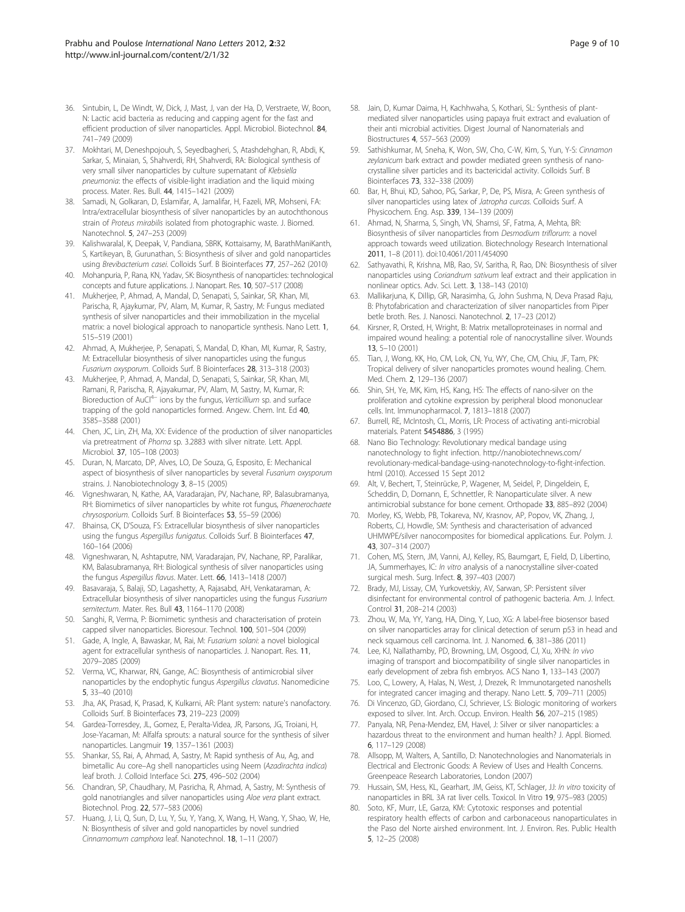- <span id="page-8-0"></span>36. Sintubin, L, De Windt, W, Dick, J, Mast, J, van der Ha, D, Verstraete, W, Boon, N: Lactic acid bacteria as reducing and capping agent for the fast and efficient production of silver nanoparticles. Appl. Microbiol. Biotechnol. 84, 741–749 (2009)
- 37. Mokhtari, M, Deneshpojouh, S, Seyedbagheri, S, Atashdehghan, R, Abdi, K, Sarkar, S, Minaian, S, Shahverdi, RH, Shahverdi, RA: Biological synthesis of very small silver nanoparticles by culture supernatant of Klebsiella pneumonia: the effects of visible-light irradiation and the liquid mixing process. Mater. Res. Bull. 44, 1415–1421 (2009)
- 38. Samadi, N, Golkaran, D, Eslamifar, A, Jamalifar, H, Fazeli, MR, Mohseni, FA: Intra/extracellular biosynthesis of silver nanoparticles by an autochthonous strain of Proteus mirabilis isolated from photographic waste. J. Biomed. Nanotechnol. 5, 247–253 (2009)
- 39. Kalishwaralal, K, Deepak, V, Pandiana, SBRK, Kottaisamy, M, BarathManiKanth, S, Kartikeyan, B, Gurunathan, S: Biosynthesis of silver and gold nanoparticles using Brevibacterium casei. Colloids Surf. B Biointerfaces 77, 257–262 (2010)
- 40. Mohanpuria, P, Rana, KN, Yadav, SK: Biosynthesis of nanoparticles: technological concepts and future applications. J. Nanopart. Res. 10, 507–517 (2008)
- 41. Mukherjee, P, Ahmad, A, Mandal, D, Senapati, S, Sainkar, SR, Khan, MI, Parischa, R, Ajaykumar, PV, Alam, M, Kumar, R, Sastry, M: Fungus mediated synthesis of silver nanoparticles and their immobilization in the mycelial matrix: a novel biological approach to nanoparticle synthesis. Nano Lett. 1, 515–519 (2001)
- 42. Ahmad, A, Mukherjee, P, Senapati, S, Mandal, D, Khan, MI, Kumar, R, Sastry, M: Extracellular biosynthesis of silver nanoparticles using the fungus Fusarium oxysporum. Colloids Surf. B Biointerfaces 28, 313–318 (2003)
- 43. Mukherjee, P, Ahmad, A, Mandal, D, Senapati, S, Sainkar, SR, Khan, MI, Ramani, R, Parischa, R, Ajayakumar, PV, Alam, M, Sastry, M, Kumar, R: Bioreduction of AuCl4<sup>−</sup> ions by the fungus, Verticillium sp. and surface trapping of the gold nanoparticles formed. Angew. Chem. Int. Ed 40, 3585–3588 (2001)
- 44. Chen, JC, Lin, ZH, Ma, XX: Evidence of the production of silver nanoparticles via pretreatment of Phoma sp. 3.2883 with silver nitrate. Lett. Appl. Microbiol. 37, 105–108 (2003)
- 45. Duran, N, Marcato, DP, Alves, LO, De Souza, G, Esposito, E: Mechanical aspect of biosynthesis of silver nanoparticles by several Fusarium oxysporum strains. J. Nanobiotechnology 3, 8–15 (2005)
- 46. Vigneshwaran, N, Kathe, AA, Varadarajan, PV, Nachane, RP, Balasubramanya, RH: Biomimetics of silver nanoparticles by white rot fungus, Phaenerochaete chrysosporium. Colloids Surf. B Biointerfaces 53, 55–59 (2006)
- 47. Bhainsa, CK, D'Souza, FS: Extracellular biosynthesis of silver nanoparticles using the fungus Aspergillus funigatus. Colloids Surf. B Biointerfaces 47, 160–164 (2006)
- 48. Vigneshwaran, N, Ashtaputre, NM, Varadarajan, PV, Nachane, RP, Paralikar, KM, Balasubramanya, RH: Biological synthesis of silver nanoparticles using the fungus Aspergillus flavus. Mater. Lett. 66, 1413–1418 (2007)
- 49. Basavaraja, S, Balaji, SD, Lagashetty, A, Rajasabd, AH, Venkataraman, A: Extracellular biosynthesis of silver nanoparticles using the fungus Fusarium semitectum. Mater. Res. Bull 43, 1164–1170 (2008)
- 50. Sanghi, R, Verma, P: Biomimetic synthesis and characterisation of protein capped silver nanoparticles. Bioresour. Technol. 100, 501–504 (2009)
- 51. Gade, A, Ingle, A, Bawaskar, M, Rai, M: Fusarium solani: a novel biological agent for extracellular synthesis of nanoparticles. J. Nanopart. Res. 11, 2079–2085 (2009)
- 52. Verma, VC, Kharwar, RN, Gange, AC: Biosynthesis of antimicrobial silver nanoparticles by the endophytic fungus Aspergillus clavatus. Nanomedicine 5, 33–40 (2010)
- 53. Jha, AK, Prasad, K, Prasad, K, Kulkarni, AR: Plant system: nature's nanofactory. Colloids Surf. B Biointerfaces 73, 219–223 (2009)
- 54. Gardea-Torresdey, JL, Gomez, E, Peralta-Videa, JR, Parsons, JG, Troiani, H, Jose-Yacaman, M: Alfalfa sprouts: a natural source for the synthesis of silver nanoparticles. Langmuir 19, 1357–1361 (2003)
- 55. Shankar, SS, Rai, A, Ahmad, A, Sastry, M: Rapid synthesis of Au, Ag, and bimetallic Au core–Ag shell nanoparticles using Neem (Azadirachta indica) leaf broth. J. Colloid Interface Sci. 275, 496–502 (2004)
- 56. Chandran, SP, Chaudhary, M, Pasricha, R, Ahmad, A, Sastry, M: Synthesis of gold nanotriangles and silver nanoparticles using Aloe vera plant extract. Biotechnol. Prog. 22, 577–583 (2006)
- 57. Huang, J, Li, Q, Sun, D, Lu, Y, Su, Y, Yang, X, Wang, H, Wang, Y, Shao, W, He, N: Biosynthesis of silver and gold nanoparticles by novel sundried Cinnamomum camphora leaf. Nanotechnol. 18, 1–11 (2007)
- 58. Jain, D, Kumar Daima, H, Kachhwaha, S, Kothari, SL: Synthesis of plantmediated silver nanoparticles using papaya fruit extract and evaluation of their anti microbial activities. Digest Journal of Nanomaterials and Biostructures 4, 557–563 (2009)
- 59. Sathishkumar, M, Sneha, K, Won, SW, Cho, C-W, Kim, S, Yun, Y-S: Cinnamon zeylanicum bark extract and powder mediated green synthesis of nanocrystalline silver particles and its bactericidal activity. Colloids Surf. B Biointerfaces 73, 332–338 (2009)
- 60. Bar, H, Bhui, KD, Sahoo, PG, Sarkar, P, De, PS, Misra, A: Green synthesis of silver nanoparticles using latex of Jatropha curcas. Colloids Surf. A Physicochem. Eng. Asp. 339, 134–139 (2009)
- 61. Ahmad, N, Sharma, S, Singh, VN, Shamsi, SF, Fatma, A, Mehta, BR: Biosynthesis of silver nanoparticles from Desmodium triflorum: a novel approach towards weed utilization. Biotechnology Research International 2011, 1–8 (2011). doi[:10.4061/2011/454090](http://dx.doi.org/10.4061/2011/454090)
- 62. Sathyavathi, R, Krishna, MB, Rao, SV, Saritha, R, Rao, DN: Biosynthesis of silver nanoparticles using Coriandrum sativum leaf extract and their application in nonlinear optics. Adv. Sci. Lett. 3, 138–143 (2010)
- 63. Mallikarjuna, K, Dillip, GR, Narasimha, G, John Sushma, N, Deva Prasad Raju, B: Phytofabrication and characterization of silver nanoparticles from Piper betle broth. Res. J. Nanosci. Nanotechnol. 2, 17–23 (2012)
- Kirsner, R, Orsted, H, Wright, B: Matrix metalloproteinases in normal and impaired wound healing: a potential role of nanocrystalline silver. Wounds 13, 5–10 (2001)
- 65. Tian, J, Wong, KK, Ho, CM, Lok, CN, Yu, WY, Che, CM, Chiu, JF, Tam, PK: Tropical delivery of silver nanoparticles promotes wound healing. Chem. Med. Chem. 2, 129–136 (2007)
- 66. Shin, SH, Ye, MK, Kim, HS, Kang, HS: The effects of nano-silver on the proliferation and cytokine expression by peripheral blood mononuclear cells. Int. Immunopharmacol. 7, 1813–1818 (2007)
- 67. Burrell, RE, McIntosh, CL, Morris, LR: Process of activating anti-microbial materials. Patent 5454886, 3 (1995)
- 68. Nano Bio Technology: Revolutionary medical bandage using nanotechnology to fight infection. [http://nanobiotechnews.com/](http://nanobiotechnews.com/revolutionary-medical-bandage-using-nanotechnology-to-fight-infection.html) [revolutionary-medical-bandage-using-nanotechnology-to-fight-infection.](http://nanobiotechnews.com/revolutionary-medical-bandage-using-nanotechnology-to-fight-infection.html) [html](http://nanobiotechnews.com/revolutionary-medical-bandage-using-nanotechnology-to-fight-infection.html) (2010). Accessed 15 Sept 2012
- 69. Alt, V, Bechert, T, Steinrücke, P, Wagener, M, Seidel, P, Dingeldein, E, Scheddin, D, Domann, E, Schnettler, R: Nanoparticulate silver. A new antimicrobial substance for bone cement. Orthopade 33, 885–892 (2004)
- 70. Morley, KS, Webb, PB, Tokareva, NV, Krasnov, AP, Popov, VK, Zhang, J, Roberts, CJ, Howdle, SM: Synthesis and characterisation of advanced UHMWPE/silver nanocomposites for biomedical applications. Eur. Polym. J. 43, 307–314 (2007)
- 71. Cohen, MS, Stern, JM, Vanni, AJ, Kelley, RS, Baumgart, E, Field, D, Libertino, JA, Summerhayes, IC: In vitro analysis of a nanocrystalline silver-coated surgical mesh. Surg. Infect. 8, 397–403 (2007)
- 72. Brady, MJ, Lissay, CM, Yurkovetskiy, AV, Sarwan, SP: Persistent silver disinfectant for environmental control of pathogenic bacteria. Am. J. Infect. Control 31, 208–214 (2003)
- 73. Zhou, W, Ma, YY, Yang, HA, Ding, Y, Luo, XG: A label-free biosensor based on silver nanoparticles array for clinical detection of serum p53 in head and neck squamous cell carcinoma. Int. J. Nanomed. 6, 381–386 (2011)
- 74. Lee, KJ, Nallathamby, PD, Browning, LM, Osgood, CJ, Xu, XHN: In vivo imaging of transport and biocompatibility of single silver nanoparticles in early development of zebra fish embryos. ACS Nano 1, 133–143 (2007)
- 75. Loo, C, Lowery, A, Halas, N, West, J, Drezek, R: Immunotargeted nanoshells for integrated cancer imaging and therapy. Nano Lett. 5, 709–711 (2005)
- 76. Di Vincenzo, GD, Giordano, CJ, Schriever, LS: Biologic monitoring of workers exposed to silver. Int. Arch. Occup. Environ. Health 56, 207–215 (1985)
- 77. Panyala, NR, Pena-Mendez, EM, Havel, J: Silver or silver nanoparticles: a hazardous threat to the environment and human health? J. Appl. Biomed. 6, 117–129 (2008)
- 78. Allsopp, M, Walters, A, Santillo, D: Nanotechnologies and Nanomaterials in Electrical and Electronic Goods: A Review of Uses and Health Concerns. Greenpeace Research Laboratories, London (2007)
- 79. Hussain, SM, Hess, KL, Gearhart, JM, Geiss, KT, Schlager, JJ: In vitro toxicity of nanoparticles in BRL 3A rat liver cells. Toxicol. In Vitro 19, 975–983 (2005)
- Soto, KF, Murr, LE, Garza, KM: Cytotoxic responses and potential respiratory health effects of carbon and carbonaceous nanoparticulates in the Paso del Norte airshed environment. Int. J. Environ. Res. Public Health 5, 12–25 (2008)